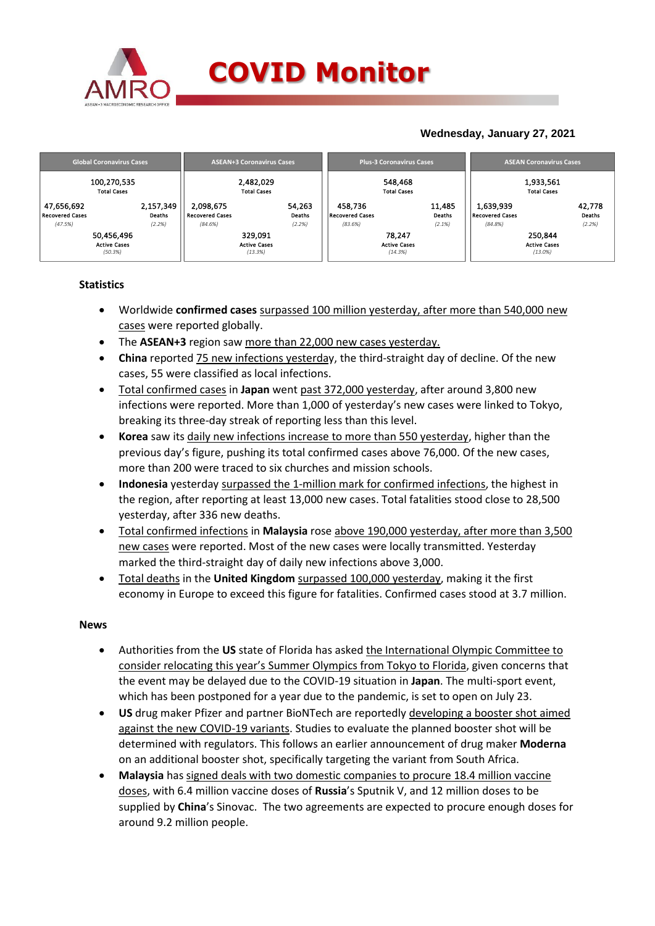

### **COVID Monitor**

### **Wednesday, January 27, 2021**

|                                      | <b>Global Coronavirus Cases</b> |                     |                                     | <b>ASEAN+3 Coronavirus Cases</b> |                  |                                   | <b>Plus-3 Coronavirus Cases</b> |                  | <b>ASEAN Coronavirus Cases</b>      |                                   |                  |  |
|--------------------------------------|---------------------------------|---------------------|-------------------------------------|----------------------------------|------------------|-----------------------------------|---------------------------------|------------------|-------------------------------------|-----------------------------------|------------------|--|
| 100,270,535<br><b>Total Cases</b>    |                                 |                     | 2,482,029<br><b>Total Cases</b>     |                                  |                  | 548,468<br><b>Total Cases</b>     |                                 |                  | 1,933,561<br><b>Total Cases</b>     |                                   |                  |  |
| 47,656,692<br><b>Recovered Cases</b> |                                 | 2,157,349<br>Deaths | 2.098.675<br><b>Recovered Cases</b> |                                  | 54,263<br>Deaths | 458.736<br><b>Recovered Cases</b> |                                 | 11,485<br>Deaths | 1,639,939<br><b>Recovered Cases</b> |                                   | 42,778<br>Deaths |  |
| (47.5%)                              |                                 | (2.2%)              | (84.6%)                             |                                  | (2.2%)           | (83.6%)                           |                                 | (2.1%)           | (84.8%)                             |                                   | (2.2%)           |  |
|                                      | 50,456,496                      |                     |                                     | 329.091                          |                  |                                   | 78.247                          |                  |                                     | 250,844                           |                  |  |
|                                      | <b>Active Cases</b><br>(50.3%)  |                     |                                     | <b>Active Cases</b><br>(13.3%)   |                  |                                   | <b>Active Cases</b><br>(14.3%)  |                  |                                     | <b>Active Cases</b><br>$(13.0\%)$ |                  |  |

#### **Statistics**

- Worldwide **confirmed cases** surpassed 100 million yesterday, after more than 540,000 new cases were reported globally.
- The **ASEAN+3** region saw more than 22,000 new cases yesterday.
- **China** reported 75 new infections yesterday, the third-straight day of decline. Of the new cases, 55 were classified as local infections.
- Total confirmed cases in **Japan** went past 372,000 yesterday, after around 3,800 new infections were reported. More than 1,000 of yesterday's new cases were linked to Tokyo, breaking its three-day streak of reporting less than this level.
- **Korea** saw its daily new infections increase to more than 550 yesterday, higher than the previous day's figure, pushing its total confirmed cases above 76,000. Of the new cases, more than 200 were traced to six churches and mission schools.
- **Indonesia** yesterday surpassed the 1-million mark for confirmed infections, the highest in the region, after reporting at least 13,000 new cases. Total fatalities stood close to 28,500 yesterday, after 336 new deaths.
- Total confirmed infections in **Malaysia** rose above 190,000 yesterday, after more than 3,500 new cases were reported. Most of the new cases were locally transmitted. Yesterday marked the third-straight day of daily new infections above 3,000.
- Total deaths in the **United Kingdom** surpassed 100,000 yesterday, making it the first economy in Europe to exceed this figure for fatalities. Confirmed cases stood at 3.7 million.

#### **News**

- Authorities from the **US** state of Florida has asked the International Olympic Committee to consider relocating this year's Summer Olympics from Tokyo to Florida, given concerns that the event may be delayed due to the COVID-19 situation in **Japan**. The multi-sport event, which has been postponed for a year due to the pandemic, is set to open on July 23.
- **US** drug maker Pfizer and partner BioNTech are reportedly developing a booster shot aimed against the new COVID-19 variants. Studies to evaluate the planned booster shot will be determined with regulators. This follows an earlier announcement of drug maker **Moderna**  on an additional booster shot, specifically targeting the variant from South Africa.
- **Malaysia** has signed deals with two domestic companies to procure 18.4 million vaccine doses, with 6.4 million vaccine doses of **Russia**'s Sputnik V, and 12 million doses to be supplied by **China**'s Sinovac. The two agreements are expected to procure enough doses for around 9.2 million people.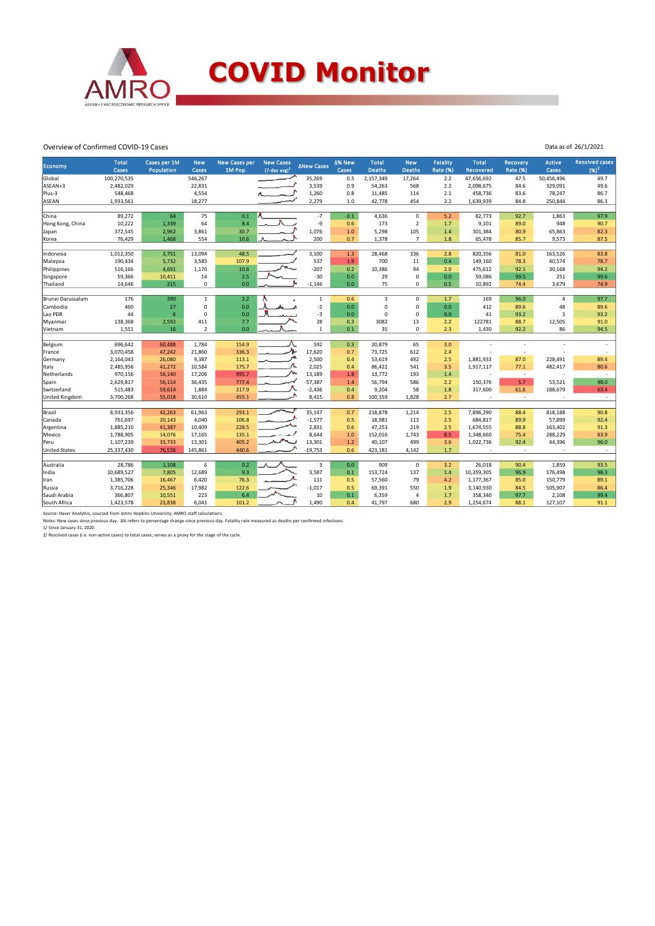

## **COVID Monitor**

Data as of 26/1/2021

#### Overview of Confirmed COVID-19 Cases

|                       | <b>Total</b> | Cases per 1M | <b>New</b>     | <b>New Cases per</b> | <b>New Cases</b>            |                   | ∆% New | <b>Total</b>  | <b>New</b>          | <b>Fatality</b> | <b>Total</b>             | <b>Recovery</b> | <b>Active</b> | <b>Resolved cases</b> |
|-----------------------|--------------|--------------|----------------|----------------------|-----------------------------|-------------------|--------|---------------|---------------------|-----------------|--------------------------|-----------------|---------------|-----------------------|
| Economy               | Cases        | Population   | Cases          | 1M Pop.              | $(7$ -day avg) <sup>1</sup> | <b>ANew Cases</b> | Cases  | <b>Deaths</b> | <b>Deaths</b>       | <b>Rate (%)</b> | <b>Recovered</b>         | <b>Rate (%)</b> | Cases         | $(96)^2$              |
| Global                | 100,270,535  |              | 546,267        |                      |                             | 35,269            | 0.5    | 2,157,349     | 17,264              | 2.2             | 47,656,692               | 47.5            | 50,456,496    | 49.7                  |
| ASEAN+3               | 2,482,029    |              | 22,831         |                      |                             | 3,539             | 0.9    | 54,263        | 568                 | 2.2             | 2,098,675                | 84.6            | 329,091       | 49.6                  |
| Plus-3                | 548,468      |              | 4,554          |                      |                             | 1,260             | 0.8    | 11,485        | 114                 | 2.1             | 458,736                  | 83.6            | 78,247        | 86.7                  |
| ASEAN                 | 1,933,561    |              | 18,277         |                      |                             | 2,279             | 1.0    | 42,778        | 454                 | 2.2             | 1,639,939                | 84.8            | 250,844       | 86.3                  |
|                       |              |              |                |                      |                             |                   |        |               |                     |                 |                          |                 |               |                       |
| China                 | 89,272       | 64           | 75             | 0.1                  |                             | $-7$              | 0.1    | 4,636         | $\mathbf 0$         | 5.2             | 82,773                   | 92.7            | 1,863         | 97.9                  |
| Hong Kong, China      | 10,222       | 1,339        | 64             | 8.4                  |                             | -9                | 0.6    | 173           | $\overline{2}$      | 1.7             | 9,101                    | 89.0            | 948           | 90.7                  |
| Japan                 | 372,545      | 2,962        | 3,861          | 30.7                 |                             | 1,076             | 1.0    | 5,298         | 105                 | 1.4             | 301,384                  | 80.9            | 65,863        | 82.3                  |
| Korea                 | 76,429       | 1,468        | 554            | 10.6                 |                             | 200               | 0.7    | 1,378         | $\overline{7}$      | 1.8             | 65,478                   | 85.7            | 9,573         | 87.5                  |
|                       |              |              |                |                      |                             |                   |        |               |                     |                 |                          |                 |               |                       |
| Indonesia             | 1,012,350    | 3,751        | 13,094         | 48.5                 |                             | 3,100             | 1.3    | 28,468        | 336                 | 2.8             | 820,356                  | 81.0            | 163,526       | 83.8                  |
| Malaysia              | 190,434      | 5,732        | 3,585          | 107.9                |                             | 537               | 1.9    | 700           | 11                  | 0.4             | 149,160                  | 78.3            | 40,574        | 78.7                  |
| Philippines           | 516,166      | 4,691        | 1,170          | 10.6                 |                             | $-207$            | 0.2    | 10,386        | 94                  | 2.0             | 475,612                  | 92.1            | 30,168        | 94.2                  |
| Singapore             | 59,366       | 10,411       | 14             | 2.5                  |                             | $-30$             | 0.0    | 29            | $\mathsf 0$         | 0.0             | 59,086                   | 99.5            | 251           | 99.6                  |
| Thailand              | 14,646       | 215          | $\mathbf 0$    | 0.0                  |                             | $-1,146$          | 0.0    | 75            | $\mathbf 0$         | 0.5             | 10,892                   | 74.4            | 3,679         | 74.9                  |
| Brunei Darussalam     | 176          | 390          | $\mathbf{1}$   | 2.2                  |                             | $\mathbf{1}$      | 0.6    | 3             | 0                   | 1.7             | 169                      | 96.0            | 4             | 97.7                  |
| Cambodia              | 460          | 27           | $\mathbf 0$    | 0.0                  |                             | $-2$              | 0.0    | $\mathbf 0$   | $\mathbf 0$         | 0.0             | 412                      | 89.6            | 48            | 89.6                  |
| Lao PDR               | 44           | 6            | $\Omega$       | 0.0                  |                             | $-3$              | 0.0    | $\Omega$      | $\mathbf 0$         | 0.0             | 41                       | 93.2            | 3             | 93.2                  |
| Myanmar               | 138,368      | 2,592        | 411            | 7.7                  |                             | 28                | 0.3    | 3082          | 13                  | 2.2             | 122781                   | 88.7            | 12,505        | 91.0                  |
| Vietnam               | 1,551        | 16           | $\overline{2}$ | 0.0                  |                             | $\mathbf{1}$      | 0.1    | 35            | $\mathbf 0$         | 2.3             | 1,430                    | 92.2            | 86            | 94.5                  |
|                       |              |              |                |                      |                             |                   |        |               |                     |                 |                          |                 |               |                       |
| Belgium               | 696,642      | 60,488       | 1,784          | 154.9                |                             | 592               | 0.3    | 20,879        | 65                  | 3.0             |                          | $\sim$          |               |                       |
| France                | 3,070,458    | 47,242       | 21,860         | 336.3                |                             | 17,620            | 0.7    | 73,725        | 612                 | 2.4             |                          | $\sim$          |               |                       |
| Germany               | 2,164,043    | 26,080       | 9,387          | 113.1                |                             | 2,500             | 0.4    | 53,619        | 492                 | 2.5             | 1,881,933                | 87.0            | 228,491       | 89.4                  |
| Italy                 | 2,485,956    | 41,272       | 10,584         | 175.7                |                             | 2,025             | 0.4    | 86,422        | 541                 | 3.5             | 1,917,117                | 77.1            | 482,417       | 80.6                  |
| Netherlands           | 970,156      | 56,140       | 17,206         | 995.7                |                             | 13,189            | 1.8    | 13,772        | 193                 | 1.4             | $\overline{\phantom{a}}$ | $\sim$          |               | $\sim$                |
| Spain                 | 2,629,817    | 56,114       | 36,435         | 777.4                |                             | $-57,387$         | 1.4    | 56,794        | 586                 | 2.2             | 150,376                  | 5.7             | 53,521        | 98.0                  |
| Switzerland           | 515,483      | 59,614       | 1,884          | 217.9                |                             | $-2,436$          | 0.4    | 9,204         | 58                  | 1.8             | 317,600                  | 61.6            | 188,679       | 63.4                  |
| <b>United Kingdom</b> | 3,700,268    | 55,018       | 30,610         | 455.1                |                             | 8,415             | 0.8    | 100,359       | 1,828               | 2.7             |                          | $\sim$          |               | $\sim$                |
|                       |              |              |                |                      |                             |                   |        |               |                     |                 |                          |                 |               |                       |
| Brazil                | 8,933,356    | 42,263       | 61,963         | 293.1                |                             | 35,147            | 0.7    | 218,878       | 1,214               | 2.5             | 7,896,290                | 88.4            | 818,188       | 90.8                  |
| Canada                | 761,697      | 20,143       | 4,040          | 106.8                |                             | $-1,577$          | 0.5    | 18,981        | 113                 | 2.5             | 684,817                  | 89.9            | 57,899        | 92.4                  |
| Argentina             | 1,885,210    | 41,387       | 10,409         | 228.5                |                             | 2,831             | 0.6    | 47,253        | 219                 | 2.5             | 1,674,555                | 88.8            | 163,402       | 91.3                  |
| Mexico                | 1,788,905    | 14,076       | 17,165         | 135.1                |                             | 8,644             | 1.0    | 152,016       | 1,743               | 8.5             | 1,348,660                | 75.4            | 288,229       | 83.9                  |
| Peru                  | 1,107,239    | 33,733       | 13,301         | 405.2                |                             | 13,301            | 1.2    | 40,107        | 499                 | 3.6             | 1,022,736                | 92.4            | 44,396        | 96.0                  |
| <b>United States</b>  | 25,337,430   | 76,536       | 145,861        | 440.6                |                             | $-19,753$         | 0.6    | 423,181       | 4,142               | 1.7             |                          | $\sim$          |               | $\sim$                |
|                       |              |              |                |                      |                             |                   |        |               |                     |                 |                          |                 |               |                       |
| Australia             | 28,786       | 1,108        | 6              | 0.2<br>9.3           |                             | 3<br>3,587        | 0.0    | 909           | $\mathsf{O}\xspace$ | 3.2             | 26,018                   | 90.4            | 1,859         | 93.5                  |
| India                 | 10,689,527   | 7,805        | 12,689         |                      |                             |                   | 0.1    | 153,724       | 137                 | 1.4             | 10,359,305               | 96.9            | 176,498       | 98.3                  |
| Iran                  | 1,385,706    | 16,467       | 6,420          | 76.3                 |                             | 111               | 0.5    | 57,560        | 79                  | 4.2             | 1,177,367                | 85.0            | 150,779       | 89.1                  |
| Russia                | 3,716,228    | 25,346       | 17,982         | 122.6                |                             | $-1,017$          | 0.5    | 69,391        | 550<br>$\Delta$     | 1.9             | 3,140,930                | 84.5            | 505,907       | 86.4                  |
| Saudi Arabia          | 366,807      | 10,551       | 223            | 6.4                  |                             | 10                | 0.1    | 6,359         |                     | 1.7             | 358,340                  | 97.7            | 2,108         | 99.4                  |
| South Africa          | 1,423,578    | 23,838       | 6,041          | 101.2                |                             | 1,490             | 0.4    | 41,797        | 680                 | 2.9             | 1,254,674                | 88.1            | 127,107       | 91.1                  |

Source: Haver Analytics, sourced from Johns Hopkins University; AMRO staff calculations.<br>Notes: New cases since previous day. Δ% refers to percentage change since previous day. Fatality rate measured as deaths per confirm